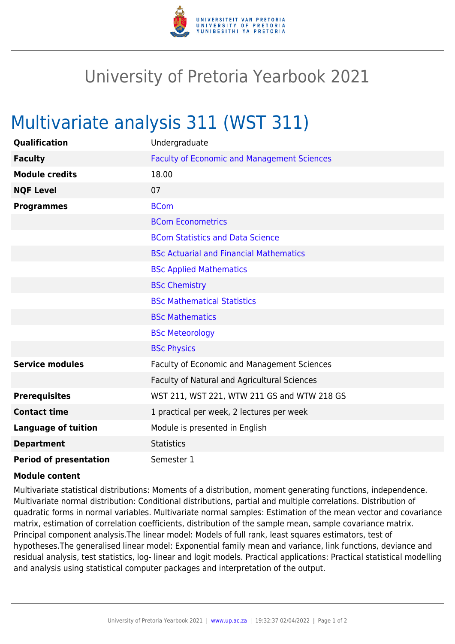

## University of Pretoria Yearbook 2021

## Multivariate analysis 311 (WST 311)

| Qualification                 | Undergraduate                                      |
|-------------------------------|----------------------------------------------------|
| <b>Faculty</b>                | <b>Faculty of Economic and Management Sciences</b> |
| <b>Module credits</b>         | 18.00                                              |
| <b>NQF Level</b>              | 07                                                 |
| <b>Programmes</b>             | <b>BCom</b>                                        |
|                               | <b>BCom Econometrics</b>                           |
|                               | <b>BCom Statistics and Data Science</b>            |
|                               | <b>BSc Actuarial and Financial Mathematics</b>     |
|                               | <b>BSc Applied Mathematics</b>                     |
|                               | <b>BSc Chemistry</b>                               |
|                               | <b>BSc Mathematical Statistics</b>                 |
|                               | <b>BSc Mathematics</b>                             |
|                               | <b>BSc Meteorology</b>                             |
|                               | <b>BSc Physics</b>                                 |
| <b>Service modules</b>        | Faculty of Economic and Management Sciences        |
|                               | Faculty of Natural and Agricultural Sciences       |
| <b>Prerequisites</b>          | WST 211, WST 221, WTW 211 GS and WTW 218 GS        |
| <b>Contact time</b>           | 1 practical per week, 2 lectures per week          |
| <b>Language of tuition</b>    | Module is presented in English                     |
| <b>Department</b>             | <b>Statistics</b>                                  |
| <b>Period of presentation</b> | Semester 1                                         |

## **Module content**

Multivariate statistical distributions: Moments of a distribution, moment generating functions, independence. Multivariate normal distribution: Conditional distributions, partial and multiple correlations. Distribution of quadratic forms in normal variables. Multivariate normal samples: Estimation of the mean vector and covariance matrix, estimation of correlation coefficients, distribution of the sample mean, sample covariance matrix. Principal component analysis.The linear model: Models of full rank, least squares estimators, test of hypotheses.The generalised linear model: Exponential family mean and variance, link functions, deviance and residual analysis, test statistics, log- linear and logit models. Practical applications: Practical statistical modelling and analysis using statistical computer packages and interpretation of the output.